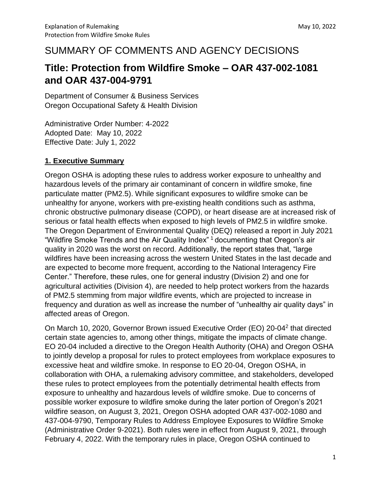# SUMMARY OF COMMENTS AND AGENCY DECISIONS

# **Title: Protection from Wildfire Smoke – OAR 437-002-1081 and OAR 437-004-9791**

Department of Consumer & Business Services Oregon Occupational Safety & Health Division

Administrative Order Number: 4-2022 Adopted Date: May 10, 2022 Effective Date: July 1, 2022

## **1. Executive Summary**

Oregon OSHA is adopting these rules to address worker exposure to unhealthy and hazardous levels of the primary air contaminant of concern in wildfire smoke, fine particulate matter (PM2.5). While significant exposures to wildfire smoke can be unhealthy for anyone, workers with pre-existing health conditions such as asthma, chronic obstructive pulmonary disease (COPD), or heart disease are at increased risk of serious or fatal health effects when exposed to high levels of PM2.5 in wildfire smoke. The Oregon Department of Environmental Quality (DEQ) released a report in July 2021 "Wildfire Smoke Trends and the Air Quality Index" <sup>1</sup>documenting that Oregon's air quality in 2020 was the worst on record. Additionally, the report states that, "large wildfires have been increasing across the western United States in the last decade and are expected to become more frequent, according to the National Interagency Fire Center." Therefore, these rules, one for general industry (Division 2) and one for agricultural activities (Division 4), are needed to help protect workers from the hazards of PM2.5 stemming from major wildfire events, which are projected to increase in frequency and duration as well as increase the number of "unhealthy air quality days" in affected areas of Oregon.

On March 10, 2020, Governor Brown issued Executive Order (EO) 20-04<sup>2</sup> that directed certain state agencies to, among other things, mitigate the impacts of climate change. EO 20-04 included a directive to the Oregon Health Authority (OHA) and Oregon OSHA to jointly develop a proposal for rules to protect employees from workplace exposures to excessive heat and wildfire smoke. In response to EO 20-04, Oregon OSHA, in collaboration with OHA, a rulemaking advisory committee, and stakeholders, developed these rules to protect employees from the potentially detrimental health effects from exposure to unhealthy and hazardous levels of wildfire smoke. Due to concerns of possible worker exposure to wildfire smoke during the later portion of Oregon's 2021 wildfire season, on August 3, 2021, Oregon OSHA adopted OAR 437-002-1080 and 437-004-9790, Temporary Rules to Address Employee Exposures to Wildfire Smoke (Administrative Order 9-2021). Both rules were in effect from August 9, 2021, through February 4, 2022. With the temporary rules in place, Oregon OSHA continued to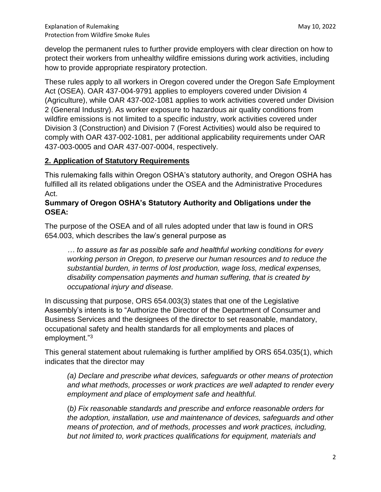develop the permanent rules to further provide employers with clear direction on how to protect their workers from unhealthy wildfire emissions during work activities, including how to provide appropriate respiratory protection.

These rules apply to all workers in Oregon covered under the Oregon Safe Employment Act (OSEA). OAR 437-004-9791 applies to employers covered under Division 4 (Agriculture), while OAR 437-002-1081 applies to work activities covered under Division 2 (General Industry). As worker exposure to hazardous air quality conditions from wildfire emissions is not limited to a specific industry, work activities covered under Division 3 (Construction) and Division 7 (Forest Activities) would also be required to comply with OAR 437-002-1081, per additional applicability requirements under OAR 437-003-0005 and OAR 437-007-0004, respectively.

# **2. Application of Statutory Requirements**

This rulemaking falls within Oregon OSHA's statutory authority, and Oregon OSHA has fulfilled all its related obligations under the OSEA and the Administrative Procedures Act.

## **Summary of Oregon OSHA's Statutory Authority and Obligations under the OSEA:**

The purpose of the OSEA and of all rules adopted under that law is found in ORS 654.003, which describes the law's general purpose as

*… to assure as far as possible safe and healthful working conditions for every working person in Oregon, to preserve our human resources and to reduce the substantial burden, in terms of lost production, wage loss, medical expenses, disability compensation payments and human suffering, that is created by occupational injury and disease.* 

In discussing that purpose, ORS 654.003(3) states that one of the Legislative Assembly's intents is to "Authorize the Director of the Department of Consumer and Business Services and the designees of the director to set reasonable, mandatory, occupational safety and health standards for all employments and places of employment."<sup>3</sup>

This general statement about rulemaking is further amplified by ORS 654.035(1), which indicates that the director may

*(a) Declare and prescribe what devices, safeguards or other means of protection and what methods, processes or work practices are well adapted to render every employment and place of employment safe and healthful.* 

(*b) Fix reasonable standards and prescribe and enforce reasonable orders for the adoption, installation, use and maintenance of devices, safeguards and other means of protection, and of methods, processes and work practices, including, but not limited to, work practices qualifications for equipment, materials and*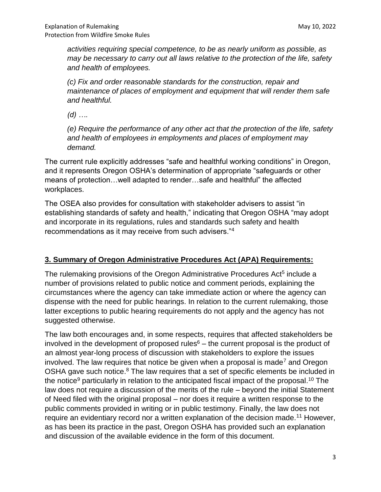*activities requiring special competence, to be as nearly uniform as possible, as may be necessary to carry out all laws relative to the protection of the life, safety and health of employees.*

*(c) Fix and order reasonable standards for the construction, repair and maintenance of places of employment and equipment that will render them safe and healthful.*

*(d) ….*

*(e) Require the performance of any other act that the protection of the life, safety and health of employees in employments and places of employment may demand.*

The current rule explicitly addresses "safe and healthful working conditions" in Oregon, and it represents Oregon OSHA's determination of appropriate "safeguards or other means of protection…well adapted to render…safe and healthful" the affected workplaces.

The OSEA also provides for consultation with stakeholder advisers to assist "in establishing standards of safety and health," indicating that Oregon OSHA "may adopt and incorporate in its regulations, rules and standards such safety and health recommendations as it may receive from such advisers."<sup>4</sup>

# **3. Summary of Oregon Administrative Procedures Act (APA) Requirements:**

The rulemaking provisions of the Oregon Administrative Procedures Act<sup>5</sup> include a number of provisions related to public notice and comment periods, explaining the circumstances where the agency can take immediate action or where the agency can dispense with the need for public hearings. In relation to the current rulemaking, those latter exceptions to public hearing requirements do not apply and the agency has not suggested otherwise.

The law both encourages and, in some respects, requires that affected stakeholders be involved in the development of proposed rules<sup> $6$ </sup> – the current proposal is the product of an almost year-long process of discussion with stakeholders to explore the issues involved. The law requires that notice be given when a proposal is made<sup>7</sup> and Oregon OSHA gave such notice.<sup>8</sup> The law requires that a set of specific elements be included in the notice<sup>9</sup> particularly in relation to the anticipated fiscal impact of the proposal.<sup>10</sup> The law does not require a discussion of the merits of the rule – beyond the initial Statement of Need filed with the original proposal – nor does it require a written response to the public comments provided in writing or in public testimony. Finally, the law does not require an evidentiary record nor a written explanation of the decision made.<sup>11</sup> However, as has been its practice in the past, Oregon OSHA has provided such an explanation and discussion of the available evidence in the form of this document.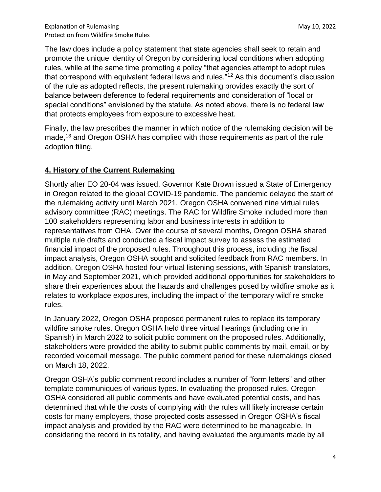The law does include a policy statement that state agencies shall seek to retain and promote the unique identity of Oregon by considering local conditions when adopting rules, while at the same time promoting a policy "that agencies attempt to adopt rules that correspond with equivalent federal laws and rules."<sup>12</sup> As this document's discussion of the rule as adopted reflects, the present rulemaking provides exactly the sort of balance between deference to federal requirements and consideration of "local or special conditions" envisioned by the statute. As noted above, there is no federal law that protects employees from exposure to excessive heat.

Finally, the law prescribes the manner in which notice of the rulemaking decision will be made,<sup>13</sup> and Oregon OSHA has complied with those requirements as part of the rule adoption filing.

# **4. History of the Current Rulemaking**

Shortly after EO 20-04 was issued, Governor Kate Brown issued a State of Emergency in Oregon related to the global COVID-19 pandemic. The pandemic delayed the start of the rulemaking activity until March 2021. Oregon OSHA convened nine virtual rules advisory committee (RAC) meetings. The RAC for Wildfire Smoke included more than 100 stakeholders representing labor and business interests in addition to representatives from OHA. Over the course of several months, Oregon OSHA shared multiple rule drafts and conducted a fiscal impact survey to assess the estimated financial impact of the proposed rules. Throughout this process, including the fiscal impact analysis, Oregon OSHA sought and solicited feedback from RAC members. In addition, Oregon OSHA hosted four virtual listening sessions, with Spanish translators, in May and September 2021, which provided additional opportunities for stakeholders to share their experiences about the hazards and challenges posed by wildfire smoke as it relates to workplace exposures, including the impact of the temporary wildfire smoke rules.

In January 2022, Oregon OSHA proposed permanent rules to replace its temporary wildfire smoke rules. Oregon OSHA held three virtual hearings (including one in Spanish) in March 2022 to solicit public comment on the proposed rules. Additionally, stakeholders were provided the ability to submit public comments by mail, email, or by recorded voicemail message. The public comment period for these rulemakings closed on March 18, 2022.

Oregon OSHA's public comment record includes a number of "form letters" and other template communiques of various types. In evaluating the proposed rules, Oregon OSHA considered all public comments and have evaluated potential costs, and has determined that while the costs of complying with the rules will likely increase certain costs for many employers, those projected costs assessed in Oregon OSHA's fiscal impact analysis and provided by the RAC were determined to be manageable. In considering the record in its totality, and having evaluated the arguments made by all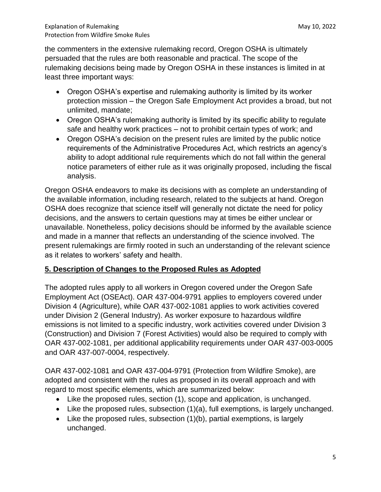the commenters in the extensive rulemaking record, Oregon OSHA is ultimately persuaded that the rules are both reasonable and practical. The scope of the rulemaking decisions being made by Oregon OSHA in these instances is limited in at least three important ways:

- Oregon OSHA's expertise and rulemaking authority is limited by its worker protection mission – the Oregon Safe Employment Act provides a broad, but not unlimited, mandate;
- Oregon OSHA's rulemaking authority is limited by its specific ability to regulate safe and healthy work practices – not to prohibit certain types of work; and
- Oregon OSHA's decision on the present rules are limited by the public notice requirements of the Administrative Procedures Act, which restricts an agency's ability to adopt additional rule requirements which do not fall within the general notice parameters of either rule as it was originally proposed, including the fiscal analysis.

Oregon OSHA endeavors to make its decisions with as complete an understanding of the available information, including research, related to the subjects at hand. Oregon OSHA does recognize that science itself will generally not dictate the need for policy decisions, and the answers to certain questions may at times be either unclear or unavailable. Nonetheless, policy decisions should be informed by the available science and made in a manner that reflects an understanding of the science involved. The present rulemakings are firmly rooted in such an understanding of the relevant science as it relates to workers' safety and health.

# **5. Description of Changes to the Proposed Rules as Adopted**

The adopted rules apply to all workers in Oregon covered under the Oregon Safe Employment Act (OSEAct). OAR 437-004-9791 applies to employers covered under Division 4 (Agriculture), while OAR 437-002-1081 applies to work activities covered under Division 2 (General Industry). As worker exposure to hazardous wildfire emissions is not limited to a specific industry, work activities covered under Division 3 (Construction) and Division 7 (Forest Activities) would also be required to comply with OAR 437-002-1081, per additional applicability requirements under OAR 437-003-0005 and OAR 437-007-0004, respectively.

OAR 437-002-1081 and OAR 437-004-9791 (Protection from Wildfire Smoke), are adopted and consistent with the rules as proposed in its overall approach and with regard to most specific elements, which are summarized below:

- Like the proposed rules, section (1), scope and application, is unchanged.
- Like the proposed rules, subsection (1)(a), full exemptions, is largely unchanged.
- Like the proposed rules, subsection (1)(b), partial exemptions, is largely unchanged.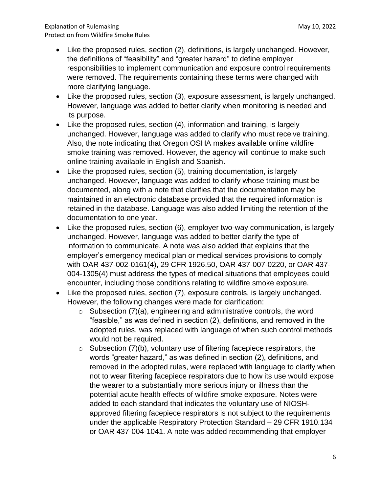- Like the proposed rules, section (2), definitions, is largely unchanged. However, the definitions of "feasibility" and "greater hazard" to define employer responsibilities to implement communication and exposure control requirements were removed. The requirements containing these terms were changed with more clarifying language.
- Like the proposed rules, section (3), exposure assessment, is largely unchanged. However, language was added to better clarify when monitoring is needed and its purpose.
- Like the proposed rules, section (4), information and training, is largely unchanged. However, language was added to clarify who must receive training. Also, the note indicating that Oregon OSHA makes available online wildfire smoke training was removed. However, the agency will continue to make such online training available in English and Spanish.
- Like the proposed rules, section (5), training documentation, is largely unchanged. However, language was added to clarify whose training must be documented, along with a note that clarifies that the documentation may be maintained in an electronic database provided that the required information is retained in the database. Language was also added limiting the retention of the documentation to one year.
- Like the proposed rules, section (6), employer two-way communication, is largely unchanged. However, language was added to better clarify the type of information to communicate. A note was also added that explains that the employer's emergency medical plan or medical services provisions to comply with OAR 437-002-0161(4), 29 CFR 1926.50, OAR 437-007-0220, or OAR 437- 004-1305(4) must address the types of medical situations that employees could encounter, including those conditions relating to wildfire smoke exposure.
- Like the proposed rules, section (7), exposure controls, is largely unchanged. However, the following changes were made for clarification:
	- $\circ$  Subsection (7)(a), engineering and administrative controls, the word "feasible," as was defined in section (2), definitions, and removed in the adopted rules, was replaced with language of when such control methods would not be required.
	- $\circ$  Subsection (7)(b), voluntary use of filtering facepiece respirators, the words "greater hazard," as was defined in section (2), definitions, and removed in the adopted rules, were replaced with language to clarify when not to wear filtering facepiece respirators due to how its use would expose the wearer to a substantially more serious injury or illness than the potential acute health effects of wildfire smoke exposure. Notes were added to each standard that indicates the voluntary use of NIOSHapproved filtering facepiece respirators is not subject to the requirements under the applicable Respiratory Protection Standard – 29 CFR 1910.134 or OAR 437-004-1041. A note was added recommending that employer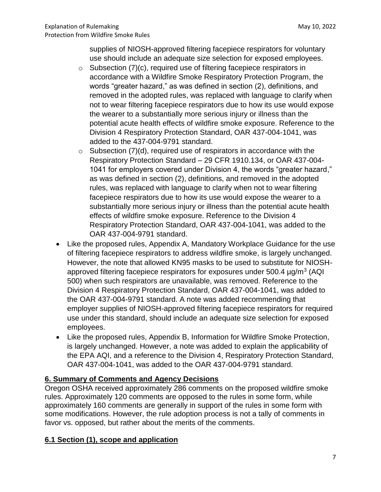supplies of NIOSH-approved filtering facepiece respirators for voluntary use should include an adequate size selection for exposed employees.

- $\circ$  Subsection (7)(c), required use of filtering facepiece respirators in accordance with a Wildfire Smoke Respiratory Protection Program, the words "greater hazard," as was defined in section (2), definitions, and removed in the adopted rules, was replaced with language to clarify when not to wear filtering facepiece respirators due to how its use would expose the wearer to a substantially more serious injury or illness than the potential acute health effects of wildfire smoke exposure. Reference to the Division 4 Respiratory Protection Standard, OAR 437-004-1041, was added to the 437-004-9791 standard.
- $\circ$  Subsection (7)(d), required use of respirators in accordance with the Respiratory Protection Standard – 29 CFR 1910.134, or OAR 437-004- 1041 for employers covered under Division 4, the words "greater hazard," as was defined in section (2), definitions, and removed in the adopted rules, was replaced with language to clarify when not to wear filtering facepiece respirators due to how its use would expose the wearer to a substantially more serious injury or illness than the potential acute health effects of wildfire smoke exposure. Reference to the Division 4 Respiratory Protection Standard, OAR 437-004-1041, was added to the OAR 437-004-9791 standard.
- Like the proposed rules, Appendix A, Mandatory Workplace Guidance for the use of filtering facepiece respirators to address wildfire smoke, is largely unchanged. However, the note that allowed KN95 masks to be used to substitute for NIOSHapproved filtering facepiece respirators for exposures under 500.4 µg/m<sup>3</sup> (AQI 500) when such respirators are unavailable, was removed. Reference to the Division 4 Respiratory Protection Standard, OAR 437-004-1041, was added to the OAR 437-004-9791 standard. A note was added recommending that employer supplies of NIOSH-approved filtering facepiece respirators for required use under this standard, should include an adequate size selection for exposed employees.
- Like the proposed rules, Appendix B, Information for Wildfire Smoke Protection, is largely unchanged. However, a note was added to explain the applicability of the EPA AQI, and a reference to the Division 4, Respiratory Protection Standard, OAR 437-004-1041, was added to the OAR 437-004-9791 standard.

# **6. Summary of Comments and Agency Decisions**

Oregon OSHA received approximately 286 comments on the proposed wildfire smoke rules. Approximately 120 comments are opposed to the rules in some form, while approximately 160 comments are generally in support of the rules in some form with some modifications. However, the rule adoption process is not a tally of comments in favor vs. opposed, but rather about the merits of the comments.

# **6.1 Section (1), scope and application**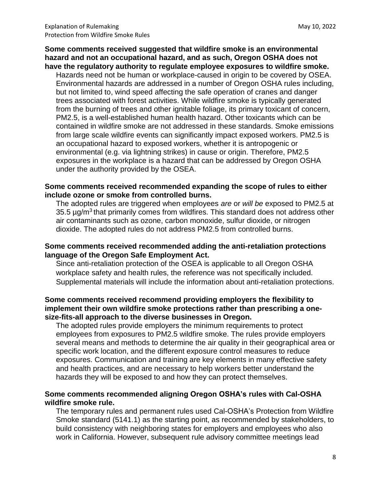#### **Some comments received suggested that wildfire smoke is an environmental hazard and not an occupational hazard, and as such, Oregon OSHA does not have the regulatory authority to regulate employee exposures to wildfire smoke.**

Hazards need not be human or workplace-caused in origin to be covered by OSEA. Environmental hazards are addressed in a number of Oregon OSHA rules including, but not limited to, wind speed affecting the safe operation of cranes and danger trees associated with forest activities. While wildfire smoke is typically generated from the burning of trees and other ignitable foliage, its primary toxicant of concern, PM2.5, is a well-established human health hazard. Other toxicants which can be contained in wildfire smoke are not addressed in these standards. Smoke emissions from large scale wildfire events can significantly impact exposed workers. PM2.5 is an occupational hazard to exposed workers, whether it is antropogenic or environmental (e.g. via lightning strikes) in cause or origin. Therefore, PM2.5 exposures in the workplace is a hazard that can be addressed by Oregon OSHA under the authority provided by the OSEA.

#### **Some comments received recommended expanding the scope of rules to either include ozone or smoke from controlled burns.**

The adopted rules are triggered when employees *are* or *will be* exposed to PM2.5 at 35.5  $\mu$ g/m<sup>3</sup> that primarily comes from wildfires. This standard does not address other air contaminants such as ozone, carbon monoxide, sulfur dioxide, or nitrogen dioxide. The adopted rules do not address PM2.5 from controlled burns.

#### **Some comments received recommended adding the anti-retaliation protections language of the Oregon Safe Employment Act.**

Since anti-retaliation protection of the OSEA is applicable to all Oregon OSHA workplace safety and health rules, the reference was not specifically included. Supplemental materials will include the information about anti-retaliation protections.

#### **Some comments received recommend providing employers the flexibility to implement their own wildfire smoke protections rather than prescribing a onesize-fits-all approach to the diverse businesses in Oregon.**

The adopted rules provide employers the minimum requirements to protect employees from exposures to PM2.5 wildfire smoke. The rules provide employers several means and methods to determine the air quality in their geographical area or specific work location, and the different exposure control measures to reduce exposures. Communication and training are key elements in many effective safety and health practices, and are necessary to help workers better understand the hazards they will be exposed to and how they can protect themselves.

## **Some comments recommended aligning Oregon OSHA's rules with Cal-OSHA wildfire smoke rule.**

The temporary rules and permanent rules used Cal-OSHA's Protection from Wildfire Smoke standard (5141.1) as the starting point, as recommended by stakeholders, to build consistency with neighboring states for employers and employees who also work in California. However, subsequent rule advisory committee meetings lead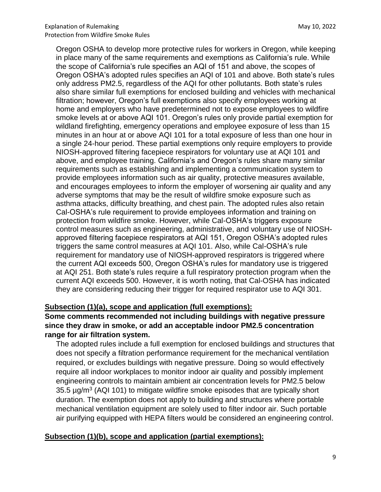Oregon OSHA to develop more protective rules for workers in Oregon, while keeping in place many of the same requirements and exemptions as California's rule. While the scope of California's rule specifies an AQI of 151 and above, the scopes of Oregon OSHA's adopted rules specifies an AQI of 101 and above. Both state's rules only address PM2.5, regardless of the AQI for other pollutants. Both state's rules also share similar full exemptions for enclosed building and vehicles with mechanical filtration; however, Oregon's full exemptions also specify employees working at home and employers who have predetermined not to expose employees to wildfire smoke levels at or above AQI 101. Oregon's rules only provide partial exemption for wildland firefighting, emergency operations and employee exposure of less than 15 minutes in an hour at or above AQI 101 for a total exposure of less than one hour in a single 24-hour period. These partial exemptions only require employers to provide NIOSH-approved filtering facepiece respirators for voluntary use at AQI 101 and above, and employee training. California's and Oregon's rules share many similar requirements such as establishing and implementing a communication system to provide employees information such as air quality, protective measures available, and encourages employees to inform the employer of worsening air quality and any adverse symptoms that may be the result of wildfire smoke exposure such as asthma attacks, difficulty breathing, and chest pain. The adopted rules also retain Cal-OSHA's rule requirement to provide employees information and training on protection from wildfire smoke. However, while Cal-OSHA's triggers exposure control measures such as engineering, administrative, and voluntary use of NIOSHapproved filtering facepiece respirators at AQI 151, Oregon OSHA's adopted rules triggers the same control measures at AQI 101. Also, while Cal-OSHA's rule requirement for mandatory use of NIOSH-approved respirators is triggered where the current AQI exceeds 500, Oregon OSHA's rules for mandatory use is triggered at AQI 251. Both state's rules require a full respiratory protection program when the current AQI exceeds 500. However, it is worth noting, that Cal-OSHA has indicated they are considering reducing their trigger for required respirator use to AQI 301.

## **Subsection (1)(a), scope and application (full exemptions):**

**Some comments recommended not including buildings with negative pressure since they draw in smoke, or add an acceptable indoor PM2.5 concentration range for air filtration system.**

The adopted rules include a full exemption for enclosed buildings and structures that does not specify a filtration performance requirement for the mechanical ventilation required, or excludes buildings with negative pressure. Doing so would effectively require all indoor workplaces to monitor indoor air quality and possibly implement engineering controls to maintain ambient air concentration levels for PM2.5 below 35.5  $\mu$ g/m<sup>3</sup> (AQI 101) to mitigate wildfire smoke episodes that are typically short duration. The exemption does not apply to building and structures where portable mechanical ventilation equipment are solely used to filter indoor air. Such portable air purifying equipped with HEPA filters would be considered an engineering control.

## **Subsection (1)(b), scope and application (partial exemptions):**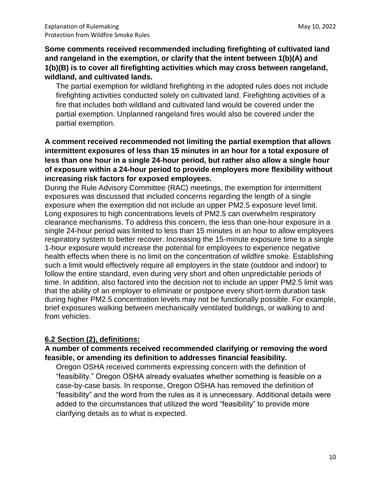# **Some comments received recommended including firefighting of cultivated land and rangeland in the exemption, or clarify that the intent between 1(b)(A) and 1(b)(B) is to cover all firefighting activities which may cross between rangeland, wildland, and cultivated lands.**

The partial exemption for wildland firefighting in the adopted rules does not include firefighting activities conducted solely on cultivated land. Firefighting activities of a fire that includes both wildland and cultivated land would be covered under the partial exemption. Unplanned rangeland fires would also be covered under the partial exemption.

# **A comment received recommended not limiting the partial exemption that allows intermittent exposures of less than 15 minutes in an hour for a total exposure of less than one hour in a single 24-hour period, but rather also allow a single hour of exposure within a 24-hour period to provide employers more flexibility without increasing risk factors for exposed employees.**

During the Rule Advisory Committee (RAC) meetings, the exemption for intermittent exposures was discussed that included concerns regarding the length of a single exposure when the exemption did not include an upper PM2.5 exposure level limit. Long exposures to high concentrations levels of PM2.5 can overwhelm respiratory clearance mechanisms. To address this concern, the less than one-hour exposure in a single 24-hour period was limited to less than 15 minutes in an hour to allow employees respiratory system to better recover. Increasing the 15-minute exposure time to a single 1-hour exposure would increase the potential for employees to experience negative health effects when there is no limit on the concentration of wildfire smoke. Establishing such a limit would effectively require all employers in the state (outdoor and indoor) to follow the entire standard, even during very short and often unpredictable periods of time. In addition, also factored into the decision not to include an upper PM2.5 limit was that the ability of an employer to eliminate or postpone every short-term duration task during higher PM2.5 concentration levels may not be functionally possible. For example, brief exposures walking between mechanically ventilated buildings, or walking to and from vehicles.

# **6.2 Section (2), definitions:**

## **A number of comments received recommended clarifying or removing the word feasible, or amending its definition to addresses financial feasibility.**

Oregon OSHA received comments expressing concern with the definition of "feasibility." Oregon OSHA already evaluates whether something is feasible on a case-by-case basis. In response, Oregon OSHA has removed the definition of "feasibility" and the word from the rules as it is unnecessary. Additional details were added to the circumstances that utilized the word "feasibility" to provide more clarifying details as to what is expected.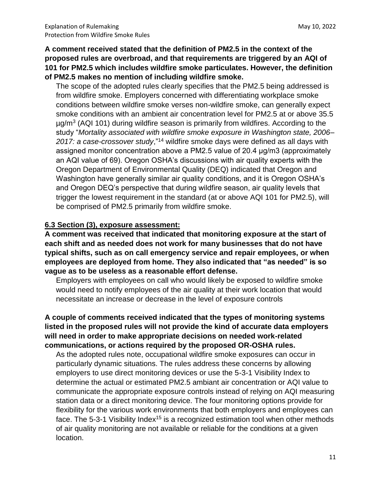**A comment received stated that the definition of PM2.5 in the context of the proposed rules are overbroad, and that requirements are triggered by an AQI of 101 for PM2.5 which includes wildfire smoke particulates. However, the definition of PM2.5 makes no mention of including wildfire smoke.**

The scope of the adopted rules clearly specifies that the PM2.5 being addressed is from wildfire smoke. Employers concerned with differentiating workplace smoke conditions between wildfire smoke verses non-wildfire smoke, can generally expect smoke conditions with an ambient air concentration level for PM2.5 at or above 35.5 µg/m<sup>3</sup> (AQI 101) during wildfire season is primarily from wildfires. According to the study "*Mortality associated with wildfire smoke exposure in Washington state, 2006– 2017: a case-crossover study*,"<sup>14</sup> wildfire smoke days were defined as all days with assigned monitor concentration above a PM2.5 value of 20.4 μg/m3 (approximately an AQI value of 69). Oregon OSHA's discussions with air quality experts with the Oregon Department of Environmental Quality (DEQ) indicated that Oregon and Washington have generally similar air quality conditions, and it is Oregon OSHA's and Oregon DEQ's perspective that during wildfire season, air quality levels that trigger the lowest requirement in the standard (at or above AQI 101 for PM2.5), will be comprised of PM2.5 primarily from wildfire smoke.

#### **6.3 Section (3), exposure assessment:**

**A comment was received that indicated that monitoring exposure at the start of each shift and as needed does not work for many businesses that do not have typical shifts, such as on call emergency service and repair employees, or when employees are deployed from home. They also indicated that "as needed" is so vague as to be useless as a reasonable effort defense.**

Employers with employees on call who would likely be exposed to wildfire smoke would need to notify employees of the air quality at their work location that would necessitate an increase or decrease in the level of exposure controls

## **A couple of comments received indicated that the types of monitoring systems listed in the proposed rules will not provide the kind of accurate data employers will need in order to make appropriate decisions on needed work-related communications, or actions required by the proposed OR-OSHA rules.**

As the adopted rules note, occupational wildfire smoke exposures can occur in particularly dynamic situations. The rules address these concerns by allowing employers to use direct monitoring devices or use the 5-3-1 Visibility Index to determine the actual or estimated PM2.5 ambiant air concentration or AQI value to communicate the appropriate exposure controls instead of relying on AQI measuring station data or a direct monitoring device. The four monitoring options provide for flexibility for the various work environments that both employers and employees can face. The 5-3-1 Visibility Index<sup>15</sup> is a recognized estimation tool when other methods of air quality monitoring are not available or reliable for the conditions at a given location.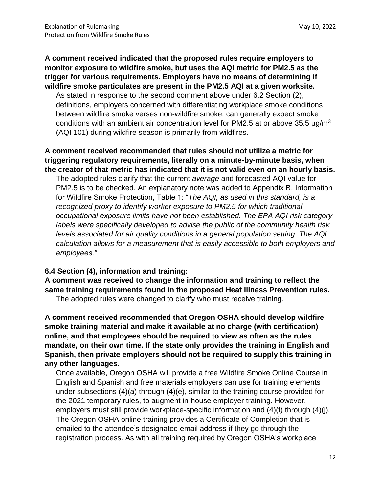**A comment received indicated that the proposed rules require employers to monitor exposure to wildfire smoke, but uses the AQI metric for PM2.5 as the trigger for various requirements. Employers have no means of determining if wildfire smoke particulates are present in the PM2.5 AQI at a given worksite.**

As stated in response to the second comment above under 6.2 Section (2), definitions, employers concerned with differentiating workplace smoke conditions between wildfire smoke verses non-wildfire smoke, can generally expect smoke conditions with an ambient air concentration level for PM2.5 at or above 35.5  $\mu q/m^3$ (AQI 101) during wildfire season is primarily from wildfires.

## **A comment received recommended that rules should not utilize a metric for triggering regulatory requirements, literally on a minute-by-minute basis, when the creator of that metric has indicated that it is not valid even on an hourly basis.**

The adopted rules clarify that the current *average* and forecasted AQI value for PM2.5 is to be checked. An explanatory note was added to Appendix B, Information for Wildfire Smoke Protection, Table 1: "*The AQI, as used in this standard, is a recognized proxy to identify worker exposure to PM2.5 for which traditional occupational exposure limits have not been established. The EPA AQI risk category labels were specifically developed to advise the public of the community health risk levels associated for air quality conditions in a general population setting. The AQI calculation allows for a measurement that is easily accessible to both employers and employees."*

## **6.4 Section (4), information and training:**

**A comment was received to change the information and training to reflect the same training requirements found in the proposed Heat Illness Prevention rules.**

The adopted rules were changed to clarify who must receive training.

**A comment received recommended that Oregon OSHA should develop wildfire smoke training material and make it available at no charge (with certification) online, and that employees should be required to view as often as the rules mandate, on their own time. If the state only provides the training in English and Spanish, then private employers should not be required to supply this training in any other languages.**

Once available, Oregon OSHA will provide a free Wildfire Smoke Online Course in English and Spanish and free materials employers can use for training elements under subsections (4)(a) through (4)(e), similar to the training course provided for the 2021 temporary rules, to augment in-house employer training. However, employers must still provide workplace-specific information and (4)(f) through (4)(j). The Oregon OSHA online training provides a Certificate of Completion that is emailed to the attendee's designated email address if they go through the registration process. As with all training required by Oregon OSHA's workplace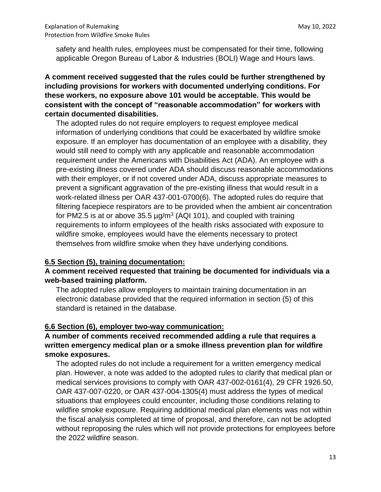safety and health rules, employees must be compensated for their time, following applicable Oregon Bureau of Labor & Industries (BOLI) Wage and Hours laws.

# **A comment received suggested that the rules could be further strengthened by including provisions for workers with documented underlying conditions. For these workers, no exposure above 101 would be acceptable. This would be consistent with the concept of "reasonable accommodation" for workers with certain documented disabilities.**

The adopted rules do not require employers to request employee medical information of underlying conditions that could be exacerbated by wildfire smoke exposure. If an employer has documentation of an employee with a disability, they would still need to comply with any applicable and reasonable accommodation requirement under the Americans with Disabilities Act (ADA). An employee with a pre-existing illness covered under ADA should discuss reasonable accommodations with their employer, or if not covered under ADA, discuss appropriate measures to prevent a significant aggravation of the pre-existing illness that would result in a work-related illness per OAR 437-001-0700(6). The adopted rules do require that filtering facepiece respirators are to be provided when the ambient air concentration for PM2.5 is at or above 35.5  $\mu$ g/m<sup>3</sup> (AQI 101), and coupled with training requirements to inform employees of the health risks associated with exposure to wildfire smoke, employees would have the elements necessary to protect themselves from wildfire smoke when they have underlying conditions.

## **6.5 Section (5), training documentation:**

## **A comment received requested that training be documented for individuals via a web-based training platform.**

The adopted rules allow employers to maintain training documentation in an electronic database provided that the required information in section (5) of this standard is retained in the database.

## **6.6 Section (6), employer two-way communication:**

# **A number of comments received recommended adding a rule that requires a written emergency medical plan or a smoke illness prevention plan for wildfire smoke exposures.**

The adopted rules do not include a requirement for a written emergency medical plan. However, a note was added to the adopted rules to clarify that medical plan or medical services provisions to comply with OAR 437-002-0161(4), 29 CFR 1926.50, OAR 437-007-0220, or OAR 437-004-1305(4) must address the types of medical situations that employees could encounter, including those conditions relating to wildfire smoke exposure. Requiring additional medical plan elements was not within the fiscal analysis completed at time of proposal, and therefore, can not be adopted without reproposing the rules which will not provide protections for employees before the 2022 wildfire season.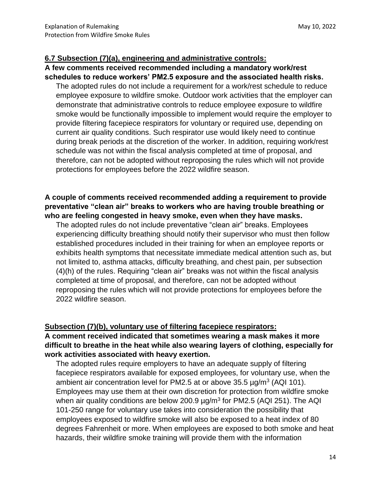#### **6.7 Subsection (7)(a), engineering and administrative controls:**

## **A few comments received recommended including a mandatory work/rest schedules to reduce workers' PM2.5 exposure and the associated health risks.**

The adopted rules do not include a requirement for a work/rest schedule to reduce employee exposure to wildfire smoke. Outdoor work activities that the employer can demonstrate that administrative controls to reduce employee exposure to wildfire smoke would be functionally impossible to implement would require the employer to provide filtering facepiece respirators for voluntary or required use, depending on current air quality conditions. Such respirator use would likely need to continue during break periods at the discretion of the worker. In addition, requiring work/rest schedule was not within the fiscal analysis completed at time of proposal, and therefore, can not be adopted without reproposing the rules which will not provide protections for employees before the 2022 wildfire season.

# **A couple of comments received recommended adding a requirement to provide preventative "clean air" breaks to workers who are having trouble breathing or who are feeling congested in heavy smoke, even when they have masks.**

The adopted rules do not include preventative "clean air" breaks. Employees experiencing difficulty breathing should notify their supervisor who must then follow established procedures included in their training for when an employee reports or exhibits health symptoms that necessitate immediate medical attention such as, but not limited to, asthma attacks, difficulty breathing, and chest pain, per subsection (4)(h) of the rules. Requiring "clean air" breaks was not within the fiscal analysis completed at time of proposal, and therefore, can not be adopted without reproposing the rules which will not provide protections for employees before the 2022 wildfire season.

## **Subsection (7)(b), voluntary use of filtering facepiece respirators:**

# **A comment received indicated that sometimes wearing a mask makes it more difficult to breathe in the heat while also wearing layers of clothing, especially for work activities associated with heavy exertion.**

The adopted rules require employers to have an adequate supply of filtering facepiece respirators available for exposed employees, for voluntary use, when the ambient air concentration level for PM2.5 at or above  $35.5 \,\mu$ g/m<sup>3</sup> (AQI 101). Employees may use them at their own discretion for protection from wildfire smoke when air quality conditions are below 200.9  $\mu$ g/m<sup>3</sup> for PM2.5 (AQI 251). The AQI 101-250 range for voluntary use takes into consideration the possibility that employees exposed to wildfire smoke will also be exposed to a heat index of 80 degrees Fahrenheit or more. When employees are exposed to both smoke and heat hazards, their wildfire smoke training will provide them with the information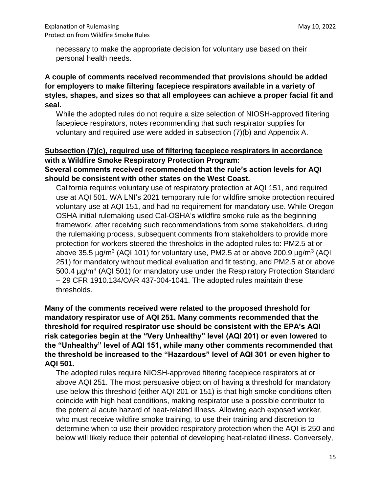necessary to make the appropriate decision for voluntary use based on their personal health needs.

# **A couple of comments received recommended that provisions should be added for employers to make filtering facepiece respirators available in a variety of styles, shapes, and sizes so that all employees can achieve a proper facial fit and seal.**

While the adopted rules do not require a size selection of NIOSH-approved filtering facepiece respirators, notes recommending that such respirator supplies for voluntary and required use were added in subsection (7)(b) and Appendix A.

# **Subsection (7)(c), required use of filtering facepiece respirators in accordance with a Wildfire Smoke Respiratory Protection Program:**

# **Several comments received recommended that the rule's action levels for AQI should be consistent with other states on the West Coast.**

California requires voluntary use of respiratory protection at AQI 151, and required use at AQI 501. WA LNI's 2021 temporary rule for wildfire smoke protection required voluntary use at AQI 151, and had no requirement for mandatory use. While Oregon OSHA initial rulemaking used Cal-OSHA's wildfire smoke rule as the beginning framework, after receiving such recommendations from some stakeholders, during the rulemaking process, subsequent comments from stakeholders to provide more protection for workers steered the thresholds in the adopted rules to: PM2.5 at or above 35.5  $\mu$ g/m<sup>3</sup> (AQI 101) for voluntary use, PM2.5 at or above 200.9  $\mu$ g/m<sup>3</sup> (AQI 251) for mandatory without medical evaluation and fit testing, and PM2.5 at or above 500.4 µg/m<sup>3</sup> (AQI 501) for mandatory use under the Respiratory Protection Standard – 29 CFR 1910.134/OAR 437-004-1041. The adopted rules maintain these thresholds.

# **Many of the comments received were related to the proposed threshold for mandatory respirator use of AQI 251. Many comments recommended that the threshold for required respirator use should be consistent with the EPA's AQI risk categories begin at the "Very Unhealthy" level (AQI 201) or even lowered to the "Unhealthy" level of AQI 151, while many other comments recommended that the threshold be increased to the "Hazardous" level of AQI 301 or even higher to AQI 501.**

The adopted rules require NIOSH-approved filtering facepiece respirators at or above AQI 251. The most persuasive objection of having a threshold for mandatory use below this threshold (either AQI 201 or 151) is that high smoke conditions often coincide with high heat conditions, making respirator use a possible contributor to the potential acute hazard of heat-related illness. Allowing each exposed worker, who must receive wildfire smoke training, to use their training and discretion to determine when to use their provided respiratory protection when the AQI is 250 and below will likely reduce their potential of developing heat-related illness. Conversely,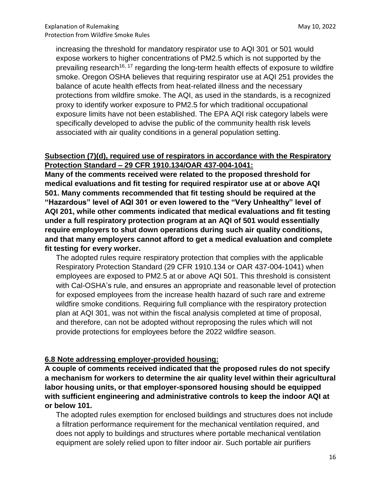increasing the threshold for mandatory respirator use to AQI 301 or 501 would expose workers to higher concentrations of PM2.5 which is not supported by the prevailing research<sup>16, 17</sup> regarding the long-term health effects of exposure to wildfire smoke. Oregon OSHA believes that requiring respirator use at AQI 251 provides the balance of acute health effects from heat-related illness and the necessary protections from wildfire smoke. The AQI, as used in the standards, is a recognized proxy to identify worker exposure to PM2.5 for which traditional occupational exposure limits have not been established. The EPA AQI risk category labels were specifically developed to advise the public of the community health risk levels associated with air quality conditions in a general population setting.

## **Subsection (7)(d), required use of respirators in accordance with the Respiratory Protection Standard – 29 CFR 1910.134/OAR 437-004-1041:**

**Many of the comments received were related to the proposed threshold for medical evaluations and fit testing for required respirator use at or above AQI 501. Many comments recommended that fit testing should be required at the "Hazardous" level of AQI 301 or even lowered to the "Very Unhealthy" level of AQI 201, while other comments indicated that medical evaluations and fit testing under a full respiratory protection program at an AQI of 501 would essentially require employers to shut down operations during such air quality conditions, and that many employers cannot afford to get a medical evaluation and complete fit testing for every worker.**

The adopted rules require respiratory protection that complies with the applicable Respiratory Protection Standard (29 CFR 1910.134 or OAR 437-004-1041) when employees are exposed to PM2.5 at or above AQI 501. This threshold is consistent with Cal-OSHA's rule, and ensures an appropriate and reasonable level of protection for exposed employees from the increase health hazard of such rare and extreme wildfire smoke conditions. Requiring full compliance with the respiratory protection plan at AQI 301, was not within the fiscal analysis completed at time of proposal, and therefore, can not be adopted without reproposing the rules which will not provide protections for employees before the 2022 wildfire season.

## **6.8 Note addressing employer-provided housing:**

**A couple of comments received indicated that the proposed rules do not specify a mechanism for workers to determine the air quality level within their agricultural labor housing units, or that employer-sponsored housing should be equipped with sufficient engineering and administrative controls to keep the indoor AQI at or below 101.**

The adopted rules exemption for enclosed buildings and structures does not include a filtration performance requirement for the mechanical ventilation required, and does not apply to buildings and structures where portable mechanical ventilation equipment are solely relied upon to filter indoor air. Such portable air purifiers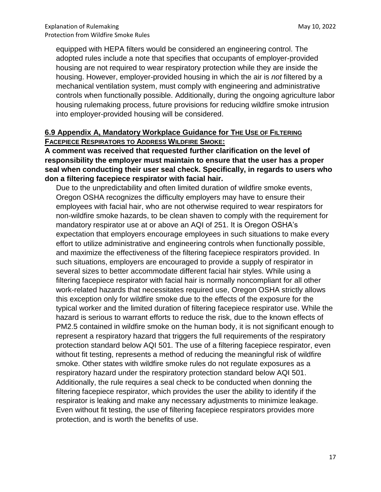equipped with HEPA filters would be considered an engineering control. The adopted rules include a note that specifies that occupants of employer-provided housing are not required to wear respiratory protection while they are inside the housing. However, employer-provided housing in which the air is *not* filtered by a mechanical ventilation system, must comply with engineering and administrative controls when functionally possible. Additionally, during the ongoing agriculture labor housing rulemaking process, future provisions for reducing wildfire smoke intrusion into employer-provided housing will be considered.

## **6.9 Appendix A, Mandatory Workplace Guidance for THE USE OF FILTERING FACEPIECE RESPIRATORS TO ADDRESS WILDFIRE SMOKE:**

**A comment was received that requested further clarification on the level of responsibility the employer must maintain to ensure that the user has a proper seal when conducting their user seal check. Specifically, in regards to users who don a filtering facepiece respirator with facial hair.** 

Due to the unpredictability and often limited duration of wildfire smoke events, Oregon OSHA recognizes the difficulty employers may have to ensure their employees with facial hair, who are not otherwise required to wear respirators for non-wildfire smoke hazards, to be clean shaven to comply with the requirement for mandatory respirator use at or above an AQI of 251. It is Oregon OSHA's expectation that employers encourage employees in such situations to make every effort to utilize administrative and engineering controls when functionally possible, and maximize the effectiveness of the filtering facepiece respirators provided. In such situations, employers are encouraged to provide a supply of respirator in several sizes to better accommodate different facial hair styles. While using a filtering facepiece respirator with facial hair is normally noncompliant for all other work-related hazards that necessitates required use, Oregon OSHA strictly allows this exception only for wildfire smoke due to the effects of the exposure for the typical worker and the limited duration of filtering facepiece respirator use. While the hazard is serious to warrant efforts to reduce the risk, due to the known effects of PM2.5 contained in wildfire smoke on the human body, it is not significant enough to represent a respiratory hazard that triggers the full requirements of the respiratory protection standard below AQI 501. The use of a filtering facepiece respirator, even without fit testing, represents a method of reducing the meaningful risk of wildfire smoke. Other states with wildfire smoke rules do not regulate exposures as a respiratory hazard under the respiratory protection standard below AQI 501. Additionally, the rule requires a seal check to be conducted when donning the filtering facepiece respirator, which provides the user the ability to identify if the respirator is leaking and make any necessary adjustments to minimize leakage. Even without fit testing, the use of filtering facepiece respirators provides more protection, and is worth the benefits of use.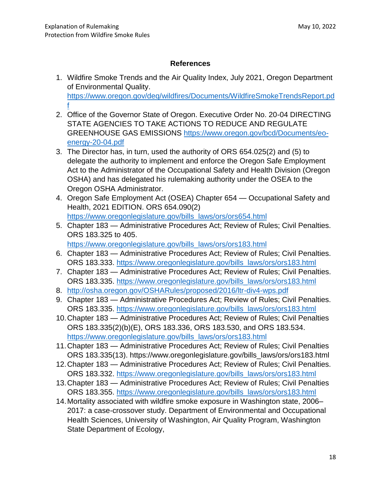## **References**

- 1. Wildfire Smoke Trends and the Air Quality Index, July 2021, Oregon Department of Environmental Quality. [https://www.oregon.gov/deq/wildfires/Documents/WildfireSmokeTrendsReport.pd](https://www.oregon.gov/deq/wildfires/Documents/WildfireSmokeTrendsReport.pdf) [f](https://www.oregon.gov/deq/wildfires/Documents/WildfireSmokeTrendsReport.pdf)
- 2. Office of the Governor State of Oregon. Executive Order No. 20-04 DIRECTING STATE AGENCIES TO TAKE ACTIONS TO REDUCE AND REGULATE GREENHOUSE GAS EMISSIONS [https://www.oregon.gov/bcd/Documents/eo](https://www.oregon.gov/bcd/Documents/eo-energy-20-04.pdf)[energy-20-04.pdf](https://www.oregon.gov/bcd/Documents/eo-energy-20-04.pdf)
- 3. The Director has, in turn, used the authority of ORS 654.025(2) and (5) to delegate the authority to implement and enforce the Oregon Safe Employment Act to the Administrator of the Occupational Safety and Health Division (Oregon OSHA) and has delegated his rulemaking authority under the OSEA to the Oregon OSHA Administrator.
- 4. Oregon Safe Employment Act (OSEA) Chapter 654 Occupational Safety and Health, 2021 EDITION. ORS 654.090(2) [https://www.oregonlegislature.gov/bills\\_laws/ors/ors654.html](https://www.oregonlegislature.gov/bills_laws/ors/ors654.html)
- 5. Chapter 183 Administrative Procedures Act; Review of Rules; Civil Penalties. ORS 183.325 to 405. [https://www.oregonlegislature.gov/bills\\_laws/ors/ors183.html](https://www.oregonlegislature.gov/bills_laws/ors/ors183.html)
- 6. Chapter 183 Administrative Procedures Act; Review of Rules; Civil Penalties. ORS 183.333. [https://www.oregonlegislature.gov/bills\\_laws/ors/ors183.html](https://www.oregonlegislature.gov/bills_laws/ors/ors183.html)
- 7. Chapter 183 Administrative Procedures Act; Review of Rules; Civil Penalties. ORS 183.335. [https://www.oregonlegislature.gov/bills\\_laws/ors/ors183.html](https://www.oregonlegislature.gov/bills_laws/ors/ors183.html)
- 8. <http://osha.oregon.gov/OSHARules/proposed/2016/ltr-div4-wps.pdf>
- 9. Chapter 183 Administrative Procedures Act; Review of Rules; Civil Penalties. ORS 183.335. [https://www.oregonlegislature.gov/bills\\_laws/ors/ors183.html](https://www.oregonlegislature.gov/bills_laws/ors/ors183.html)
- 10.Chapter 183 Administrative Procedures Act; Review of Rules; Civil Penalties ORS 183.335(2)(b)(E), ORS 183.336, ORS 183.530, and ORS 183.534. [https://www.oregonlegislature.gov/bills\\_laws/ors/ors183.html](https://www.oregonlegislature.gov/bills_laws/ors/ors183.html)
- 11.Chapter 183 Administrative Procedures Act; Review of Rules; Civil Penalties ORS 183.335(13). https://www.oregonlegislature.gov/bills\_laws/ors/ors183.html
- 12.Chapter 183 Administrative Procedures Act; Review of Rules; Civil Penalties. ORS 183.332. [https://www.oregonlegislature.gov/bills\\_laws/ors/ors183.html](https://www.oregonlegislature.gov/bills_laws/ors/ors183.html)
- 13.Chapter 183 Administrative Procedures Act; Review of Rules; Civil Penalties ORS 183.355. [https://www.oregonlegislature.gov/bills\\_laws/ors/ors183.html](https://www.oregonlegislature.gov/bills_laws/ors/ors183.html)
- 14.Mortality associated with wildfire smoke exposure in Washington state, 2006– 2017: a case-crossover study. Department of Environmental and Occupational Health Sciences, University of Washington, Air Quality Program, Washington State Department of Ecology,